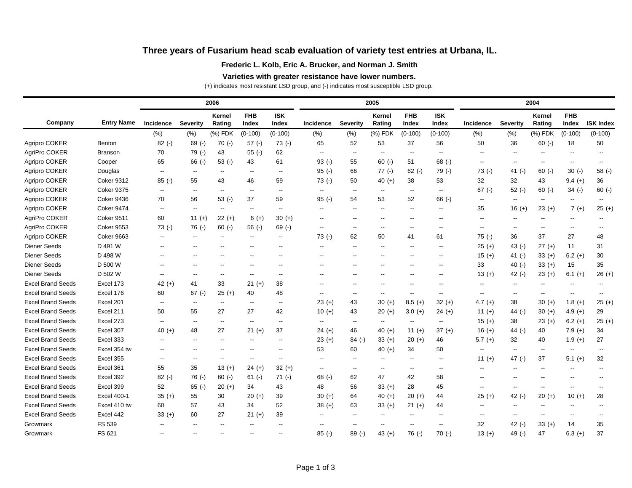# **Three years of Fusarium head scab evaluation of variety test entries at Urbana, IL.**

### **Frederic L. Kolb, Eric A. Brucker, and Norman J. Smith**

#### **Varieties with greater resistance have lower numbers.**

(+) indicates most resistant LSD group, and (-) indicates most susceptible LSD group.

|                          | <b>Entry Name</b>  |                          |                          | 2006                     |                          |                          |                          | 2005                     |                          |                          | 2004                     |                          |                          |                          |                          |                          |
|--------------------------|--------------------|--------------------------|--------------------------|--------------------------|--------------------------|--------------------------|--------------------------|--------------------------|--------------------------|--------------------------|--------------------------|--------------------------|--------------------------|--------------------------|--------------------------|--------------------------|
| Company                  |                    | Incidence                | <b>Severity</b>          | <b>Kernel</b><br>Rating  | <b>FHB</b><br>Index      | <b>ISK</b><br>Index      | Incidence                | <b>Severity</b>          | Kernel<br>Rating         | <b>FHB</b><br>Index      | <b>ISK</b><br>Index      | Incidence                | <b>Severity</b>          | Kernel<br>Rating         | <b>FHB</b><br>Index      | <b>ISK Index</b>         |
|                          |                    | (%)                      | $(\% )$                  | (%) FDK                  | $(0-100)$                | $(0-100)$                | (% )                     | (% )                     | (%) FDK                  | $(0-100)$                | $(0-100)$                | (% )                     | (% )                     | (%) FDK                  | $(0-100)$                | $(0-100)$                |
| Agripro COKER            | Benton             | $82$ (-)                 | $69$ (-)                 | 70(.)                    | $57$ (-)                 | $73( - )$                | 65                       | 52                       | 53                       | 37                       | 56                       | 50                       | 36                       | $60$ (-)                 | 18                       | 50                       |
| AgriPro COKER            | Branson            | 70                       | $79(-)$                  | 43                       | $55$ (-)                 | 62                       | $\overline{\phantom{a}}$ | $-$                      | --                       | $\overline{\phantom{a}}$ | $\overline{\phantom{a}}$ | $\overline{a}$           | $-$                      | $-$                      | $\overline{a}$           | $\overline{\phantom{a}}$ |
| Agripro COKER            | Cooper             | 65                       | $66$ (-)                 | $53$ (-)                 | 43                       | 61                       | $93( - )$                | 55                       | $60$ (-)                 | 51                       | $68$ (-)                 | $\overline{a}$           | $\overline{\phantom{a}}$ | $\overline{a}$           | $-$                      | $\overline{a}$           |
| Agripro COKER            | Douglas            | $\overline{\phantom{a}}$ | $\overline{a}$           | $-$                      | $-$                      | $\overline{\phantom{a}}$ | $95$ (-)                 | 66                       | 77 (-)                   | $62$ (-)                 | $79(-)$                  | $73( - )$                | 41 $(-)$                 | $60$ (-)                 | $30(-)$                  | $58$ (-)                 |
| Agripro COKER            | <b>Coker 9312</b>  | $85$ (-)                 | 55                       | 43                       | 46                       | 59                       | $73$ (-)                 | 50                       | $40 (+)$                 | 38                       | 53                       | 32                       | 32                       | 43                       | $9.4 (+)$                | 36                       |
| Agripro COKER            | <b>Coker 9375</b>  | $\overline{\phantom{a}}$ | $\overline{\phantom{a}}$ | $\overline{\phantom{a}}$ | $\overline{\phantom{a}}$ | $\overline{\phantom{a}}$ | $\overline{\phantom{a}}$ | $\overline{\phantom{a}}$ | $\overline{\phantom{a}}$ | $\overline{\phantom{a}}$ | $\overline{\phantom{a}}$ | $67$ (-)                 | $52$ (-)                 | $60 (-)$                 | $34$ (-)                 | $60$ (-)                 |
| Agripro COKER            | Coker 9436         | 70                       | 56                       | $53$ (-)                 | 37                       | 59                       | $95$ (-)                 | 54                       | 53                       | 52                       | $66$ (-)                 | --                       | $\overline{\phantom{a}}$ | $\overline{\phantom{a}}$ | $\overline{\phantom{a}}$ | $\overline{\phantom{a}}$ |
| Agripro COKER            | Coker 9474         | $\overline{\phantom{a}}$ | $\overline{\phantom{a}}$ | $\overline{\phantom{a}}$ | $\overline{\phantom{a}}$ | $\overline{\phantom{a}}$ | $\overline{\phantom{a}}$ | $\overline{\phantom{a}}$ | $\overline{\phantom{a}}$ | $\overline{\phantom{a}}$ | $\overline{\phantom{a}}$ | 35                       | $16 (+)$                 | $23 (+)$                 | $7 (+)$                  | $25 (+)$                 |
| AgriPro COKER            | <b>Coker 9511</b>  | 60                       | $11 (+)$                 | $22 (+)$                 | $6 (+)$                  | $30 (+)$                 | $-$                      | $-$                      | $-$                      | $- -$                    | $-$                      | $-$                      | $\overline{\phantom{a}}$ | $\overline{a}$           | $\overline{\phantom{a}}$ |                          |
| AgriPro COKER            | <b>Coker 9553</b>  | $73( - )$                | $76$ (-)                 | $60 (-)$                 | $56(-)$                  | $69$ (-)                 | $\overline{\phantom{a}}$ | $\overline{\phantom{a}}$ | $\overline{\phantom{a}}$ | $\overline{\phantom{a}}$ | $\overline{\phantom{a}}$ | $\overline{\phantom{a}}$ | $\overline{\phantom{a}}$ | $\overline{a}$           | --                       | $\overline{\phantom{a}}$ |
| Agripro COKER            | <b>Coker 9663</b>  | $\overline{\phantom{a}}$ | $\overline{\phantom{a}}$ | $\overline{\phantom{a}}$ | --                       | $\overline{\phantom{a}}$ | $73( - )$                | 62                       | 50                       | 41                       | 61                       | $75$ (-)                 | 36                       | 37                       | 27                       | 48                       |
| <b>Diener Seeds</b>      | D 491 W            | $\overline{a}$           | $-$                      | --                       | --                       | $\overline{\phantom{a}}$ | $\overline{\phantom{a}}$ | $\overline{\phantom{a}}$ | $\overline{\phantom{a}}$ | $-$                      | $\overline{\phantom{a}}$ | $25 (+)$                 | 43 $(-)$                 | $27 (+)$                 | 11                       | 31                       |
| <b>Diener Seeds</b>      | D 498 W            | $\overline{\phantom{a}}$ | $-$                      | $- -$                    | $-$                      | $\overline{\phantom{a}}$ | $- -$                    | $- -$                    | $-$                      | $- -$                    | $-$                      | $15 (+)$                 | 41 $(-)$                 | $33 (+)$                 | $6.2 (+)$                | 30                       |
| <b>Diener Seeds</b>      | D 500 W            | н.                       |                          |                          | --                       | $\overline{\phantom{a}}$ | $\overline{\phantom{a}}$ | $\overline{\phantom{a}}$ | --                       |                          | $\overline{a}$           | 33                       | 40 $(-)$                 | $33 (+)$                 | 15                       | 35                       |
| <b>Diener Seeds</b>      | D 502 W            | $\overline{\phantom{a}}$ | $\overline{\phantom{a}}$ | $\overline{\phantom{a}}$ | $\overline{\phantom{a}}$ | $\overline{\phantom{a}}$ | $\overline{\phantom{a}}$ | --                       | --                       |                          | $\overline{\phantom{a}}$ | $13 (+)$                 | 42 $(-)$                 | $23 (+)$                 | $6.1 (+)$                | $26 (+)$                 |
| <b>Excel Brand Seeds</b> | Excel 173          | $42 (+)$                 | 41                       | 33                       | $21 (+)$                 | 38                       | $\overline{\phantom{a}}$ | $\overline{\phantom{a}}$ | --                       |                          | $\overline{\phantom{a}}$ | --                       | $\overline{\phantom{a}}$ | $\overline{a}$           | --                       | --                       |
| <b>Excel Brand Seeds</b> | Excel 176          | 60                       | $67$ (-)                 | $25 (+)$                 | 40                       | 48                       | $\overline{\phantom{a}}$ | $-$                      | $\overline{\phantom{a}}$ | $-$                      | $\overline{\phantom{a}}$ | $-$                      | $-$                      | $\overline{a}$           | $\overline{a}$           | $-$                      |
| <b>Excel Brand Seeds</b> | Excel 201          | $\overline{\phantom{a}}$ | $\overline{\phantom{a}}$ | $\overline{\phantom{a}}$ | $\overline{\phantom{a}}$ | $\overline{\phantom{a}}$ | $23 (+)$                 | 43                       | $30 (+)$                 | $8.5 (+)$                | $32 (+)$                 | $4.7 (+)$                | 38                       | $30 (+)$                 | $1.8 (+)$                | $25 (+)$                 |
| <b>Excel Brand Seeds</b> | Excel 211          | 50                       | 55                       | 27                       | 27                       | 42                       | $10 (+)$                 | 43                       | $20 (+)$                 | $3.0 (+)$                | 24 (+)                   | $11 (+)$                 | 44 $(-)$                 | $30 (+)$                 | 4.9 $(+)$                | 29                       |
| <b>Excel Brand Seeds</b> | Excel 273          | $\overline{\phantom{a}}$ | $\overline{a}$           | $\overline{\phantom{a}}$ | $\overline{\phantom{a}}$ | $\overline{a}$           | $\overline{\phantom{a}}$ | $\overline{\phantom{a}}$ | --                       | $\overline{a}$           |                          | $15 (+)$                 | 38                       | $23 (+)$                 | $6.2 (+)$                | $25 (+)$                 |
| <b>Excel Brand Seeds</b> | Excel 307          | 40 $(+)$                 | 48                       | 27                       | $21 (+)$                 | 37                       | $24 (+)$                 | 46                       | 40 $(+)$                 | 11 $(+)$                 | $37 (+)$                 | $16 (+)$                 | 44 (-)                   | 40                       | $7.9 (+)$                | 34                       |
| <b>Excel Brand Seeds</b> | Excel 333          | $\overline{\phantom{a}}$ | $\overline{\phantom{a}}$ | $- -$                    | $\overline{\phantom{a}}$ | $\overline{\phantom{a}}$ | $23 (+)$                 | $84$ (-)                 | $33 (+)$                 | $20 (+)$                 | 46                       | $5.7 (+)$                | 32                       | 40                       | $1.9 (+)$                | 27                       |
| <b>Excel Brand Seeds</b> | Excel 354 tw       | $\overline{\phantom{a}}$ | н.                       |                          |                          | $\overline{\phantom{a}}$ | 53                       | 60                       | 40 $(+)$                 | 34                       | 50                       | $\overline{a}$           | $\overline{\phantom{a}}$ | $\overline{\phantom{a}}$ | --                       |                          |
| <b>Excel Brand Seeds</b> | Excel 355          | $\overline{\phantom{a}}$ | $\overline{\phantom{a}}$ | --                       | --                       | $\overline{\phantom{a}}$ | --                       | $\overline{\phantom{a}}$ | --                       | $\overline{\phantom{a}}$ | $\overline{\phantom{a}}$ | $11 (+)$                 | 47 $(-)$                 | 37                       | $5.1 (+)$                | 32                       |
| <b>Excel Brand Seeds</b> | Excel 361          | 55                       | 35                       | $13 (+)$                 | $24 (+)$                 | $32 (+)$                 | $\overline{\phantom{a}}$ | $\overline{\phantom{a}}$ | $\overline{\phantom{a}}$ | $\overline{\phantom{a}}$ | $\overline{\phantom{a}}$ | $\overline{\phantom{a}}$ | $\overline{\phantom{a}}$ | $\overline{\phantom{a}}$ |                          |                          |
| <b>Excel Brand Seeds</b> | Excel 392          | $82$ (-)                 | $76$ (-)                 | $60$ (-)                 | $61$ (-)                 | $71(-)$                  | $68$ (-)                 | 62                       | 47                       | 42                       | 58                       | --                       | $- -$                    | $- -$                    |                          | $-$                      |
| <b>Excel Brand Seeds</b> | Excel 399          | 52                       | $65$ (-)                 | $20 (+)$                 | 34                       | 43                       | 48                       | 56                       | $33 (+)$                 | 28                       | 45                       | $-$                      | --                       | --                       | $\overline{a}$           |                          |
| <b>Excel Brand Seeds</b> | <b>Excel 400-1</b> | $35 (+)$                 | 55                       | 30                       | $20 (+)$                 | 39                       | $30 (+)$                 | 64                       | $40 (+)$                 | $20 (+)$                 | 44                       | $25 (+)$                 | 42 $(-)$                 | $20 (+)$                 | $10 (+)$                 | 28                       |
| <b>Excel Brand Seeds</b> | Excel 410 tw       | 60                       | 57                       | 43                       | 34                       | 52                       | $38 (+)$                 | 63                       | $33 (+)$                 | $21 (+)$                 | 44                       | $\overline{a}$           | $\overline{a}$           | $\overline{a}$           |                          |                          |
| <b>Excel Brand Seeds</b> | Excel 442          | $33 (+)$                 | 60                       | 27                       | $21 (+)$                 | 39                       | $-$                      | $\overline{\phantom{a}}$ | --                       | $-$                      | $-$                      | --                       | $-$                      | --                       | $\overline{a}$           |                          |
| Growmark                 | FS 539             | $\overline{\phantom{a}}$ |                          |                          | --                       | н.                       | н.                       | --                       | --                       |                          | $\overline{a}$           | 32                       | 42 $(-)$                 | $33 (+)$                 | 14                       | 35                       |
| Growmark                 | FS 621             | $\overline{\phantom{a}}$ |                          |                          | --                       | $\overline{\phantom{a}}$ | $85$ (-)                 | $89(-)$                  | 43 $(+)$                 | $76$ (-)                 | $70(-)$                  | $13 (+)$                 | 49 $(-)$                 | 47                       | $6.3 (+)$                | 37                       |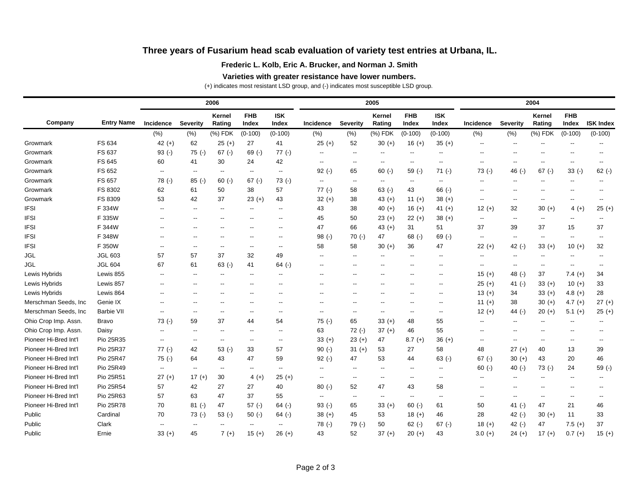# **Three years of Fusarium head scab evaluation of variety test entries at Urbana, IL.**

### **Frederic L. Kolb, Eric A. Brucker, and Norman J. Smith**

#### **Varieties with greater resistance have lower numbers.**

(+) indicates most resistant LSD group, and (-) indicates most susceptible LSD group.

|                       | <b>Entry Name</b> |                          |                          | 2006                     |                          |                          |                          |                          | 2005                     |                          | 2004                     |                          |                          |                          |                          |                          |
|-----------------------|-------------------|--------------------------|--------------------------|--------------------------|--------------------------|--------------------------|--------------------------|--------------------------|--------------------------|--------------------------|--------------------------|--------------------------|--------------------------|--------------------------|--------------------------|--------------------------|
| Company               |                   | Incidence                | <b>Severity</b>          | <b>Kernel</b><br>Rating  | <b>FHB</b><br>Index      | <b>ISK</b><br>Index      | Incidence                | <b>Severity</b>          | Kernel<br>Rating         | <b>FHB</b><br>Index      | <b>ISK</b><br>Index      | Incidence                | <b>Severity</b>          | Kernel<br>Rating         | <b>FHB</b><br>Index      | <b>ISK Index</b>         |
|                       |                   | (% )                     | (% )                     | (%) FDK                  | $(0-100)$                | $(0-100)$                | (% )                     | (% )                     | (%) FDK                  | $(0-100)$                | $(0-100)$                | (% )                     | (% )                     | (%) FDK                  | $(0-100)$                | $(0-100)$                |
| Growmark              | FS 634            | 42 $(+)$                 | 62                       | $25 (+)$                 | 27                       | 41                       | $25 (+)$                 | 52                       | $30 (+)$                 | $16 (+)$                 | $35 (+)$                 | --                       | $\overline{\phantom{a}}$ |                          |                          |                          |
| Growmark              | FS 637            | $93$ (-)                 | $75$ (-)                 | $67$ (-)                 | $69$ (-)                 | $77(-)$                  |                          | $\overline{\phantom{a}}$ | --                       |                          | $\overline{\phantom{a}}$ | $\overline{a}$           |                          |                          |                          |                          |
| Growmark              | FS 645            | 60                       | 41                       | 30                       | 24                       | 42                       | --                       | ۰.                       | --                       | $-$                      | $-$                      | $\overline{a}$           | $-$                      | $-$                      | --                       |                          |
| Growmark              | FS 652            | $\overline{\phantom{a}}$ | $\overline{\phantom{a}}$ | $-$                      | $\overline{\phantom{a}}$ | $\overline{\phantom{a}}$ | $92$ (-)                 | 65                       | $60$ (-)                 | $59( - )$                | $71(-)$                  | $73( - )$                | 46 $(-)$                 | $67$ (-)                 | $33(-)$                  | $62$ (-)                 |
| Growmark              | FS 657            | $78$ (-)                 | $85$ (-)                 | $60$ (-)                 | $67$ (-)                 | $73( - )$                | --                       | --                       | $\overline{\phantom{a}}$ | $\overline{\phantom{a}}$ | $\overline{\phantom{a}}$ | --                       | $\overline{\phantom{a}}$ | $\overline{\phantom{a}}$ | $\overline{\phantom{a}}$ |                          |
| Growmark              | FS 8302           | 62                       | 61                       | 50                       | 38                       | 57                       | $77$ (-)                 | 58                       | $63$ (-)                 | 43                       | $66$ (-)                 | --                       | $\overline{\phantom{a}}$ |                          |                          |                          |
| Growmark              | FS 8309           | 53                       | 42                       | 37                       | $23 (+)$                 | 43                       | $32 (+)$                 | 38                       | 43 $(+)$                 | 11 $(+)$                 | $38 (+)$                 | $\overline{\phantom{a}}$ | $\overline{\phantom{a}}$ | $\overline{\phantom{a}}$ | $\overline{\phantom{a}}$ | $\overline{\phantom{a}}$ |
| <b>IFSI</b>           | F 334W            | $\overline{\phantom{a}}$ | $\overline{a}$           | $-$                      | --                       | $\overline{\phantom{a}}$ | 43                       | 38                       | 40 $(+)$                 | $16 (+)$                 | 41 $(+)$                 | $12 (+)$                 | 32                       | $30 (+)$                 | $4 (+)$                  | $25 (+)$                 |
| <b>IFSI</b>           | F 335W            | $\overline{\phantom{a}}$ | $\overline{\phantom{a}}$ | --                       | --                       | $\overline{\phantom{a}}$ | 45                       | 50                       | $23 (+)$                 | $22 (+)$                 | $38 (+)$                 | --                       | $\overline{\phantom{a}}$ | $\overline{\phantom{a}}$ | $\overline{\phantom{a}}$ | $\overline{\phantom{a}}$ |
| <b>IFSI</b>           | F 344W            |                          |                          | --                       | --                       | н.                       | 47                       | 66                       | 43 $(+)$                 | 31                       | 51                       | 37                       | 39                       | 37                       | 15                       | 37                       |
| <b>IFSI</b>           | F 348W            |                          |                          | --                       | --                       | $\overline{\phantom{a}}$ | $98(-)$                  | 70(.)                    | 47                       | $68$ (-)                 | $69$ (-)                 | --                       | $\overline{\phantom{a}}$ | $\overline{\phantom{a}}$ | $\overline{\phantom{a}}$ |                          |
| <b>IFSI</b>           | F 350W            | $\overline{\phantom{a}}$ | $\overline{a}$           | $\overline{a}$           | $\overline{\phantom{a}}$ | $\overline{\phantom{a}}$ | 58                       | 58                       | $30 (+)$                 | 36                       | 47                       | $22 (+)$                 | 42 $(-)$                 | $33 (+)$                 | $10 (+)$                 | 32                       |
| <b>JGL</b>            | <b>JGL 603</b>    | 57                       | 57                       | 37                       | 32                       | 49                       | $\overline{\phantom{a}}$ | --                       | --                       | $\overline{\phantom{a}}$ | $\overline{\phantom{a}}$ | --                       | $\overline{\phantom{a}}$ | $\overline{a}$           | $\overline{\phantom{a}}$ |                          |
| JGL                   | <b>JGL 604</b>    | 67                       | 61                       | $63$ (-)                 | 41                       | $64$ (-)                 | $\overline{\phantom{a}}$ | --                       | $\overline{\phantom{a}}$ | $-$                      | $\overline{\phantom{a}}$ | --                       | $\overline{\phantom{a}}$ | --                       | $\overline{\phantom{a}}$ |                          |
| Lewis Hybrids         | Lewis 855         | $\overline{\phantom{a}}$ | $\overline{\phantom{a}}$ | $\overline{\phantom{a}}$ | $\overline{\phantom{a}}$ | $\overline{\phantom{a}}$ | $\overline{\phantom{a}}$ | $\overline{\phantom{a}}$ | $\overline{\phantom{a}}$ | $-$                      | $\overline{\phantom{a}}$ | $15 (+)$                 | 48 $(-)$                 | 37                       | $7.4 (+)$                | 34                       |
| Lewis Hybrids         | Lewis 857         | $\overline{\phantom{a}}$ | $\overline{\phantom{a}}$ | $-$                      | $-$                      | $\overline{\phantom{a}}$ | $\overline{\phantom{a}}$ | $\overline{\phantom{a}}$ | $\overline{\phantom{a}}$ | $\overline{a}$           | $\overline{\phantom{a}}$ | $25 (+)$                 | 41 $(-)$                 | $33 (+)$                 | $10 (+)$                 | 33                       |
| Lewis Hybrids         | Lewis 864         | $\overline{\phantom{a}}$ |                          |                          | --                       | $\overline{\phantom{a}}$ | --                       | --                       | --                       |                          | $\overline{a}$           | $13 (+)$                 | 34                       | $33 (+)$                 | 4.8 $(+)$                | 28                       |
| Merschman Seeds, Inc. | Genie IX          | $\overline{\phantom{a}}$ |                          | $-$                      | --                       | $\overline{\phantom{a}}$ | $-$                      | --                       | --                       |                          | $\overline{\phantom{a}}$ | $11 (+)$                 | 38                       | $30 (+)$                 | 4.7 $(+)$                | $27 (+)$                 |
| Merschman Seeds, Inc  | <b>Barbie VII</b> | $\overline{\phantom{a}}$ |                          | --                       | $\overline{\phantom{a}}$ | $\overline{\phantom{a}}$ | $\overline{\phantom{a}}$ | $\overline{\phantom{a}}$ | $\overline{\phantom{a}}$ | $\overline{a}$           | $\overline{\phantom{a}}$ | $12 (+)$                 | 44 $(-)$                 | $20 (+)$                 | $5.1 (+)$                | $25 (+)$                 |
| Ohio Crop Imp. Assn.  | Bravo             | $73( - )$                | 59                       | 37                       | 44                       | 54                       | $75( - )$                | 65                       | $33 (+)$                 | 48                       | 55                       | --                       | $- -$                    |                          |                          |                          |
| Ohio Crop Imp. Assn.  | Daisy             | $\overline{\phantom{a}}$ | $\overline{\phantom{a}}$ | $\overline{a}$           | $\overline{\phantom{a}}$ | $\overline{\phantom{a}}$ | 63                       | $72$ (-)                 | $37 (+)$                 | 46                       | 55                       | --                       | $\overline{\phantom{a}}$ |                          |                          |                          |
| Pioneer Hi-Bred Int'l | Pio 25R35         | $\overline{\phantom{a}}$ | $\overline{a}$           | $\overline{a}$           | $\overline{\phantom{a}}$ | $\overline{\phantom{a}}$ | $33 (+)$                 | $23 (+)$                 | 47                       | $8.7 (+)$                | $36 (+)$                 | --                       | $\overline{a}$           | $\overline{\phantom{a}}$ | --                       |                          |
| Pioneer Hi-Bred Int'l | Pio 25R37         | $77(-)$                  | 42                       | $53( - )$                | 33                       | 57                       | $90 (-)$                 | $31 (+)$                 | 53                       | 27                       | 58                       | 48                       | $27 (+)$                 | 40                       | 13                       | 39                       |
| Pioneer Hi-Bred Int'l | Pio 25R47         | $75$ (-)                 | 64                       | 43                       | 47                       | 59                       | $92$ (-)                 | 47                       | 53                       | 44                       | $63$ (-)                 | $67$ (-)                 | $30 (+)$                 | 43                       | 20                       | 46                       |
| Pioneer Hi-Bred Int'l | Pio 25R49         | $\overline{\phantom{a}}$ | $\overline{\phantom{a}}$ | $\overline{\phantom{a}}$ | --                       | $\overline{\phantom{a}}$ | $\overline{a}$           | $\overline{\phantom{a}}$ | $\overline{\phantom{a}}$ | $-$                      | $\overline{\phantom{a}}$ | $60 (-)$                 | 40 $(-)$                 | $73( - )$                | 24                       | $59$ (-)                 |
| Pioneer Hi-Bred Int'l | Pio 25R51         | $27 (+)$                 | $17 (+)$                 | 30                       | 4 $(+)$                  | $25 (+)$                 | $\overline{\phantom{a}}$ | $\overline{\phantom{a}}$ | $\overline{\phantom{a}}$ | $\sim$                   | $\overline{\phantom{a}}$ | --                       | $\overline{\phantom{a}}$ | $\overline{a}$           | $\overline{a}$           | $\overline{\phantom{a}}$ |
| Pioneer Hi-Bred Int'l | Pio 25R54         | 57                       | 42                       | 27                       | 27                       | 40                       | $80 (-)$                 | 52                       | 47                       | 43                       | 58                       | --                       | $\overline{a}$           |                          |                          | $\overline{\phantom{a}}$ |
| Pioneer Hi-Bred Int'l | Pio 25R63         | 57                       | 63                       | 47                       | 37                       | 55                       | $\overline{a}$           | $\overline{\phantom{a}}$ | $\overline{\phantom{a}}$ | $\sim$                   | $\sim$                   | $\overline{\phantom{a}}$ | $\overline{\phantom{a}}$ | $\overline{\phantom{a}}$ | $\overline{\phantom{a}}$ | $\overline{\phantom{a}}$ |
| Pioneer Hi-Bred Int'l | Pio 25R78         | 70                       | $81$ (-)                 | 47                       | $57$ (-)                 | $64$ (-)                 | $93$ (-)                 | 65                       | $33 (+)$                 | $60 (-)$                 | 61                       | 50                       | 41 $(-)$                 | 47                       | 21                       | 46                       |
| Public                | Cardinal          | 70                       | 73()                     | $53$ (-)                 | $50(-)$                  | $64$ (-)                 | $38 (+)$                 | 45                       | 53                       | $18 (+)$                 | 46                       | 28                       | 42 $(-)$                 | $30 (+)$                 | 11                       | 33                       |
| Public                | Clark             | $\overline{\phantom{a}}$ | --                       | $\overline{\phantom{a}}$ | $\overline{\phantom{a}}$ | $\overline{\phantom{a}}$ | $78$ (-)                 | 79 (-)                   | 50                       | $62$ (-)                 | $67$ (-)                 | $18 (+)$                 | 42 $(-)$                 | 47                       | $7.5 (+)$                | 37                       |
| Public                | Ernie             | $33 (+)$                 | 45                       | $7 (+)$                  | $15(+)$                  | $26 (+)$                 | 43                       | 52                       | $37 (+)$                 | $20 (+)$                 | 43                       | $3.0 (+)$                | $24 (+)$                 | $17 (+)$                 | $0.7 (+)$                | $15 (+)$                 |